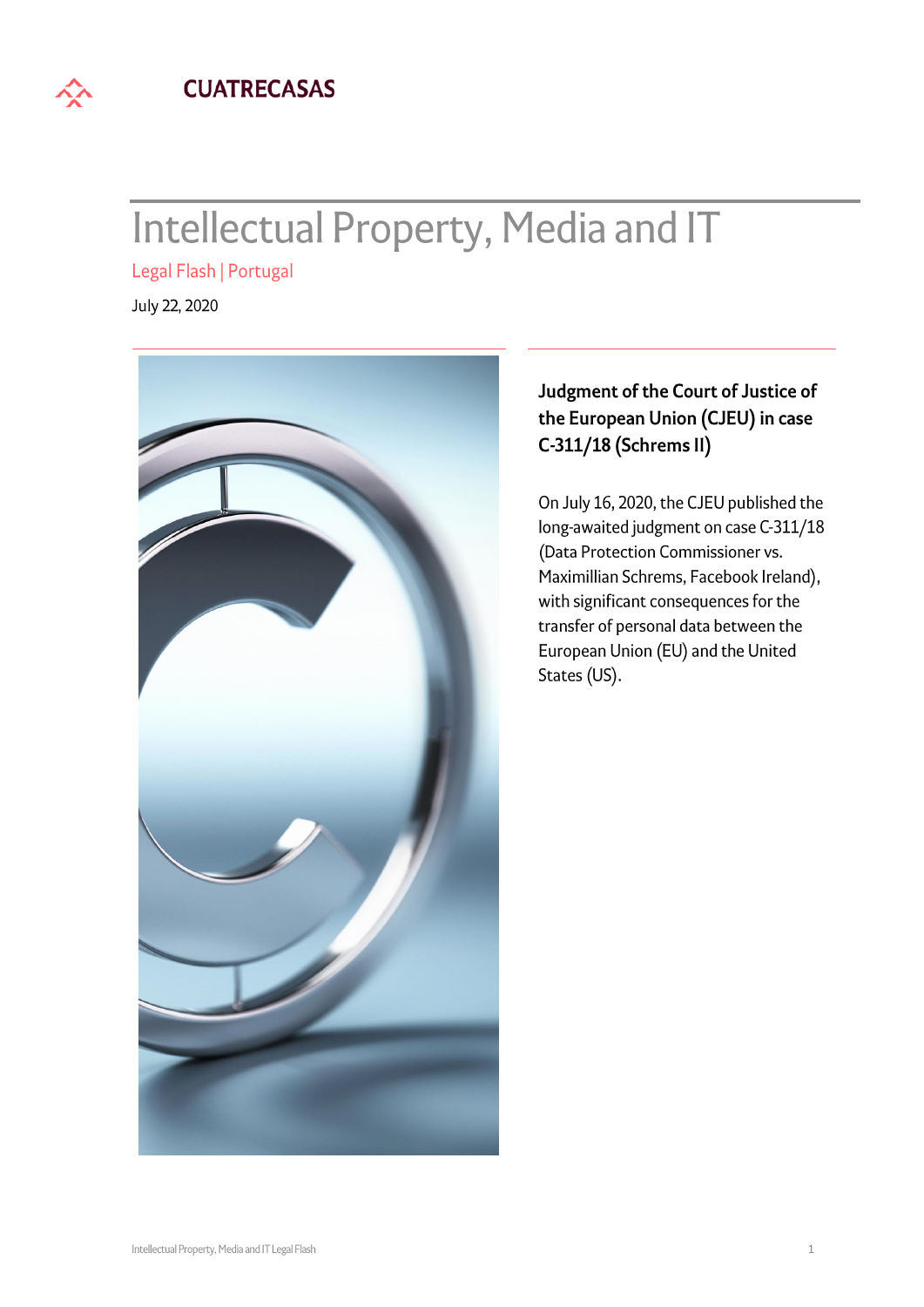

# **Intellectual Property, Media and IT**

Legal Flash | Portugal

July 22, 2020



## Judgment of the Court of Justice of the European Union (CJEU) in case C-311/18 (Schrems II)

On July 16, 2020, the CJEU published the long-awaited judgment on case C-311/18 (Data Protection Commissioner vs. Maximillian Schrems, Facebook Ireland), with significant consequences for the transfer of personal data between the European Union (EU) and the United States (US).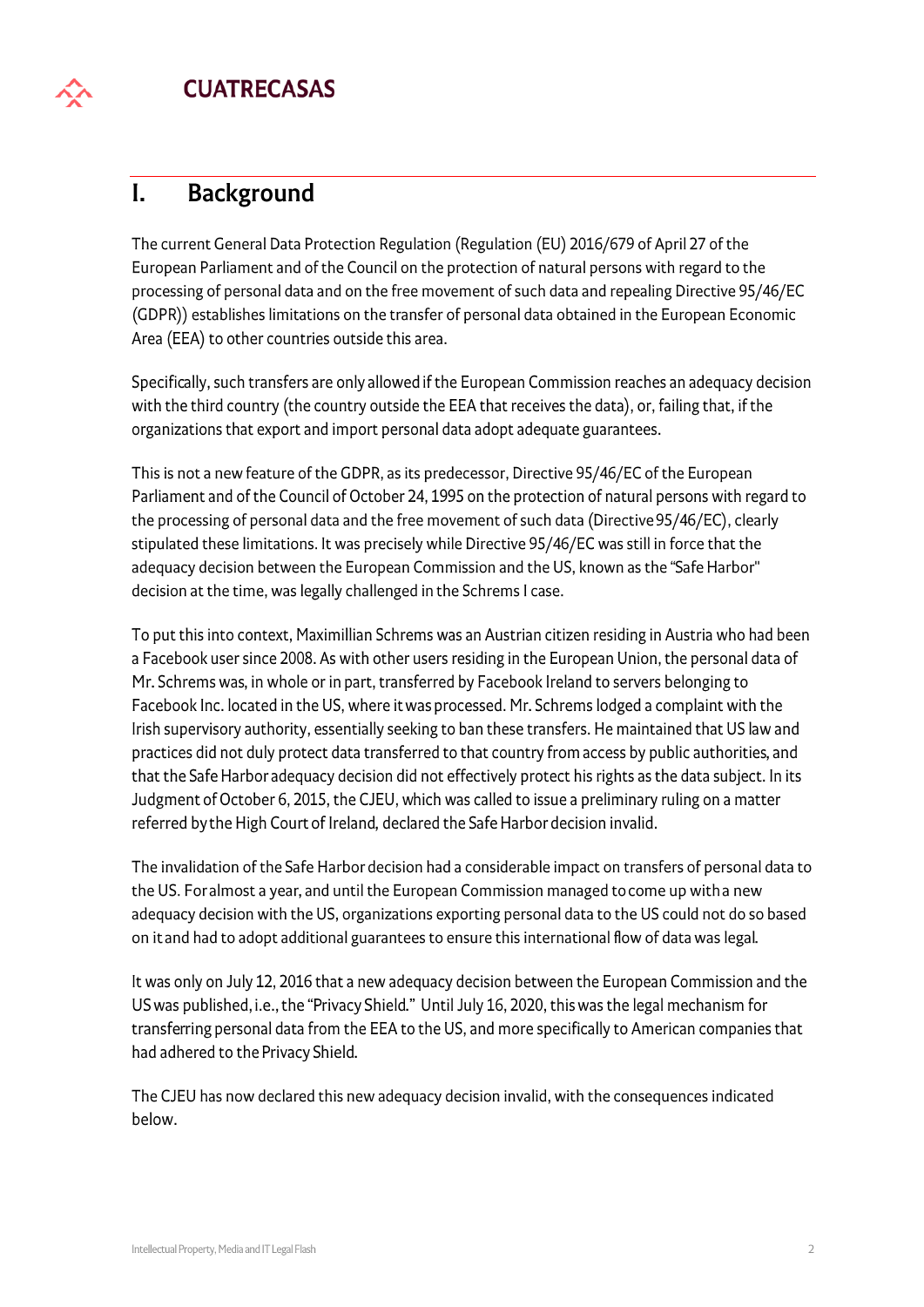#### **Background**  $\mathbf{I}$ .

The current General Data Protection Regulation (Regulation (EU) 2016/679 of April 27 of the European Parliament and of the Council on the protection of natural persons with regard to the processing of personal data and on the free movement of such data and repealing Directive 95/46/EC (GDPR)) establishes limitations on the transfer of personal data obtained in the European Economic Area (EEA) to other countries outside this area.

Specifically, such transfers are only allowed if the European Commission reaches an adequacy decision with the third country (the country outside the EEA that receives the data), or, failing that, if the organizations that export and import personal data adopt adequate guarantees.

This is not a new feature of the GDPR, as its predecessor, Directive 95/46/EC of the European Parliament and of the Council of October 24, 1995 on the protection of natural persons with regard to the processing of personal data and the free movement of such data (Directive 95/46/EC), clearly stipulated these limitations. It was precisely while Directive 95/46/EC was still in force that the adequacy decision between the European Commission and the US, known as the "Safe Harbor" decision at the time, was legally challenged in the Schrems I case.

To put this into context, Maximillian Schrems was an Austrian citizen residing in Austria who had been a Facebook user since 2008. As with other users residing in the European Union, the personal data of Mr. Schrems was, in whole or in part, transferred by Facebook Ireland to servers belonging to Facebook Inc. located in the US, where it was processed. Mr. Schrems lodged a complaint with the Irish supervisory authority, essentially seeking to ban these transfers. He maintained that US law and practices did not duly protect data transferred to that country from access by public authorities, and that the Safe Harbor adequacy decision did not effectively protect his rights as the data subject. In its Judgment of October 6, 2015, the CJEU, which was called to issue a preliminary ruling on a matter referred by the High Court of Ireland, declared the Safe Harbor decision invalid.

The invalidation of the Safe Harbor decision had a considerable impact on transfers of personal data to the US. For almost a year, and until the European Commission managed to come up with a new adequacy decision with the US, organizations exporting personal data to the US could not do so based on it and had to adopt additional guarantees to ensure this international flow of data was legal.

It was only on July 12, 2016 that a new adequacy decision between the European Commission and the US was published, i.e., the "Privacy Shield." Until July 16, 2020, this was the legal mechanism for transferring personal data from the EEA to the US, and more specifically to American companies that had adhered to the Privacy Shield.

The CJEU has now declared this new adequacy decision invalid, with the consequences indicated below.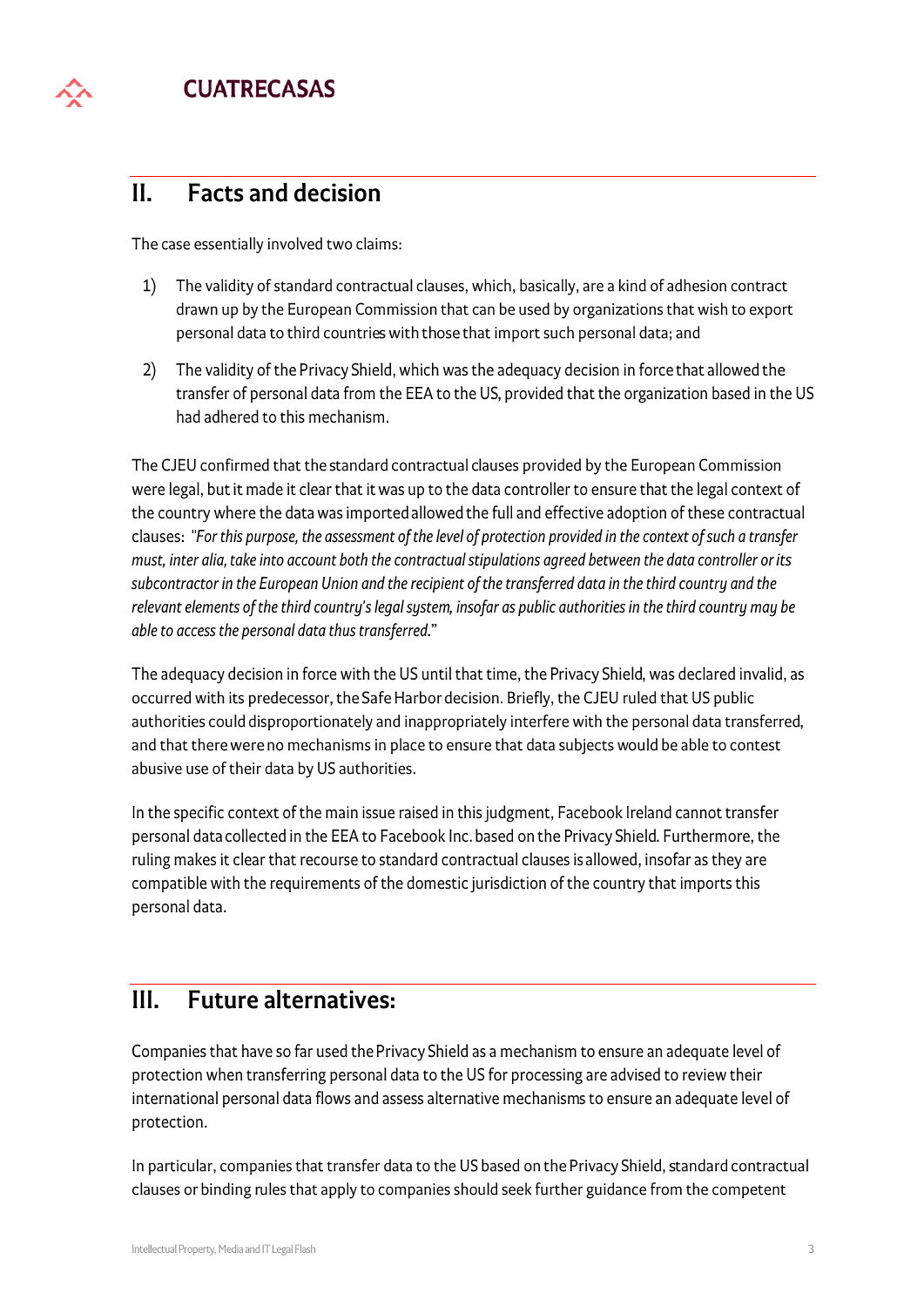

#### $II.$ **Facts and decision**

The case essentially involved two claims:

- $1)$ The validity of standard contractual clauses, which, basically, are a kind of adhesion contract drawn up by the European Commission that can be used by organizations that wish to export personal data to third countries with those that import such personal data; and
- $2)$ The validity of the Privacy Shield, which was the adequacy decision in force that allowed the transfer of personal data from the EEA to the US, provided that the organization based in the US had adhered to this mechanism.

The CJEU confirmed that the standard contractual clauses provided by the European Commission were legal, but it made it clear that it was up to the data controller to ensure that the legal context of the country where the data was imported allowed the full and effective adoption of these contractual clauses: "For this purpose, the assessment of the level of protection provided in the context of such a transfer must, inter alia, take into account both the contractual stipulations agreed between the data controller or its subcontractor in the European Union and the recipient of the transferred data in the third country and the relevant elements of the third country's legal system, insofar as public authorities in the third country may be able to access the personal data thus transferred."

The adequacy decision in force with the US until that time, the Privacy Shield, was declared invalid, as occurred with its predecessor, the Safe Harbor decision. Briefly, the CJEU ruled that US public authorities could disproportionately and inappropriately interfere with the personal data transferred, and that there were no mechanisms in place to ensure that data subjects would be able to contest abusive use of their data by US authorities.

In the specific context of the main issue raised in this judgment, Facebook Ireland cannot transfer personal data collected in the EEA to Facebook Inc. based on the Privacy Shield. Furthermore, the ruling makes it clear that recourse to standard contractual clauses is allowed, insofar as they are compatible with the requirements of the domestic jurisdiction of the country that imports this personal data.

#### **Future alternatives:**  $III.$

Companies that have so far used the Privacy Shield as a mechanism to ensure an adequate level of protection when transferring personal data to the US for processing are advised to review their international personal data flows and assess alternative mechanisms to ensure an adequate level of protection.

In particular, companies that transfer data to the US based on the Privacy Shield, standard contractual clauses or binding rules that apply to companies should seek further guidance from the competent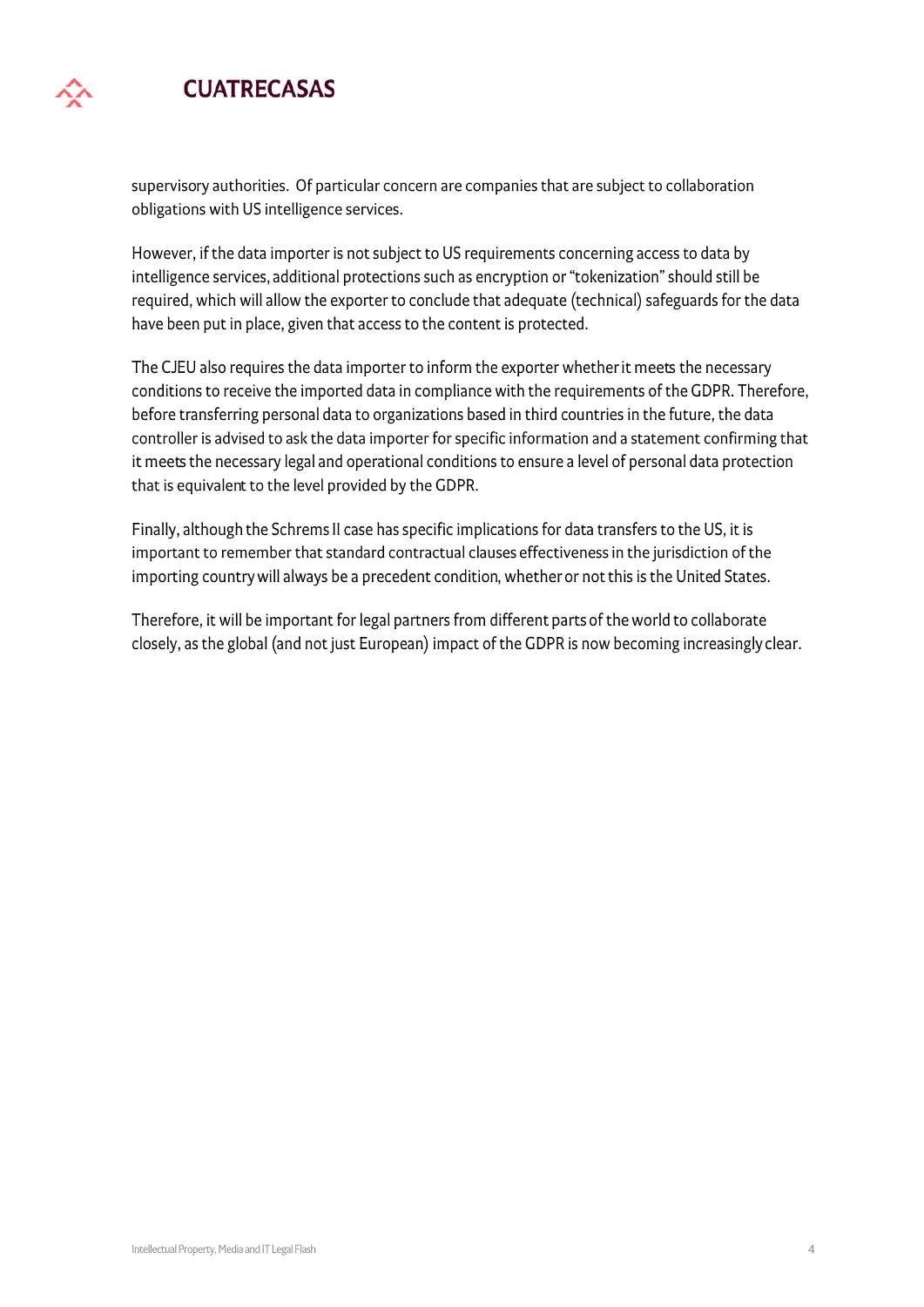# **CUATRECASAS**

supervisory authorities. Of particular concern are companies that are subject to collaboration obligations with US intelligence services.

However, if the data importer is not subject to US requirements concerning access to data by intelligence services, additional protections such as encryption or "tokenization" should still be required, which will allow the exporter to conclude that adequate (technical) safeguards for the data have been put in place, given that access to the content is protected.

The CJEU also requires the data importer to inform the exporter whether it meets the necessary conditions to receive the imported data in compliance with the requirements of the GDPR. Therefore, before transferring personal data to organizations based in third countries in the future, the data controller is advised to ask the data importer for specific information and a statement confirming that it meets the necessary legal and operational conditions to ensure a level of personal data protection that is equivalent to the level provided by the GDPR.

Finally, although the Schrems II case has specific implications for data transfers to the US, it is important to remember that standard contractual clauses effectiveness in the jurisdiction of the importing country will always be a precedent condition, whether or not this is the United States.

Therefore, it will be important for legal partners from different parts of the world to collaborate closely, as the global (and not just European) impact of the GDPR is now becoming increasingly clear.